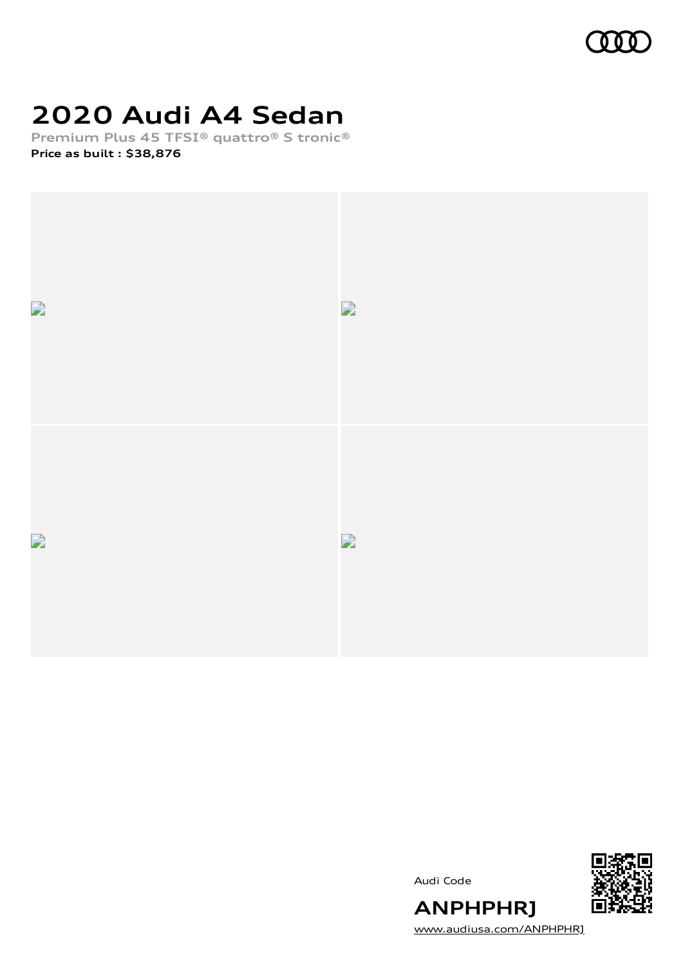

# **2020 Audi A4 Sedan**

**Premium Plus 45 TFSI® quattro® S tronic® Price as built [:](#page-8-0) \$38,876**



Audi Code



[www.audiusa.com/ANPHPHRJ](https://www.audiusa.com/ANPHPHRJ)

**ANPHPHRJ**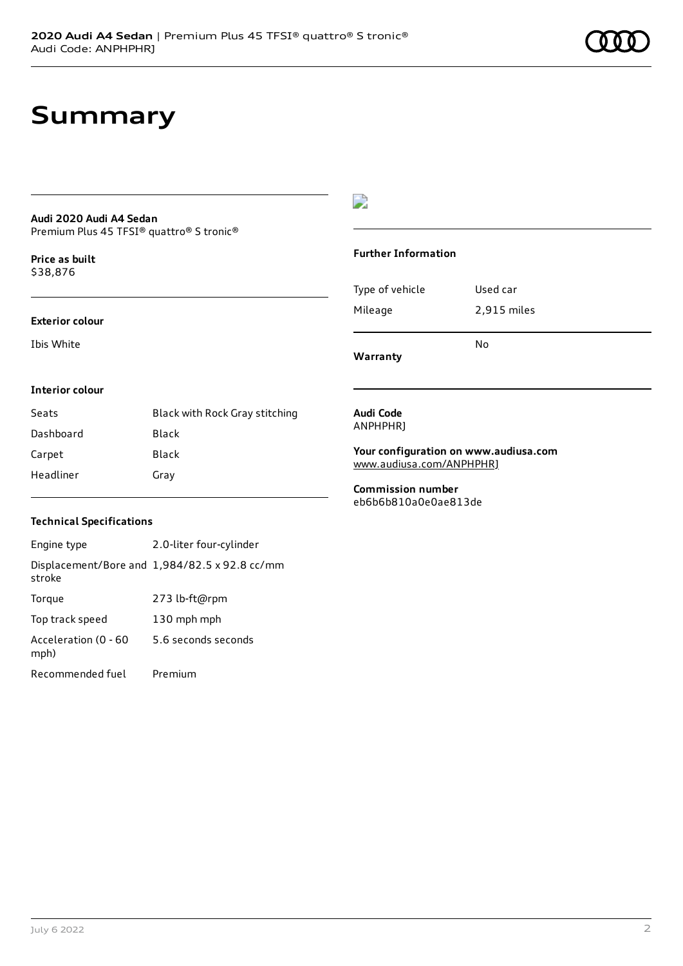# **Summary**

#### **Audi 2020 Audi A4 Sedan** Premium Plus 45 TFSI® quattro® S tronic®

**Price as buil[t](#page-8-0)** \$38,876

#### **Exterior colour**

Ibis White

### $\overline{\phantom{a}}$

#### **Further Information**

|                 | N٥          |
|-----------------|-------------|
| Mileage         | 2,915 miles |
| Type of vehicle | Used car    |

**Warranty**

#### **Interior colour**

| Seats     | Black with Rock Gray stitching |
|-----------|--------------------------------|
| Dashboard | Black                          |
| Carpet    | Black                          |
| Headliner | Gray                           |

#### **Audi Code** ANPHPHRJ

**Your configuration on www.audiusa.com** [www.audiusa.com/ANPHPHRJ](https://www.audiusa.com/ANPHPHRJ)

**Commission number** eb6b6b810a0e0ae813de

#### **Technical Specifications**

| Engine type                  | 2.0-liter four-cylinder                       |
|------------------------------|-----------------------------------------------|
| stroke                       | Displacement/Bore and 1,984/82.5 x 92.8 cc/mm |
| Torque                       | 273 lb-ft@rpm                                 |
| Top track speed              | 130 mph mph                                   |
| Acceleration (0 - 60<br>mph) | 5.6 seconds seconds                           |
| Recommended fuel             | Premium                                       |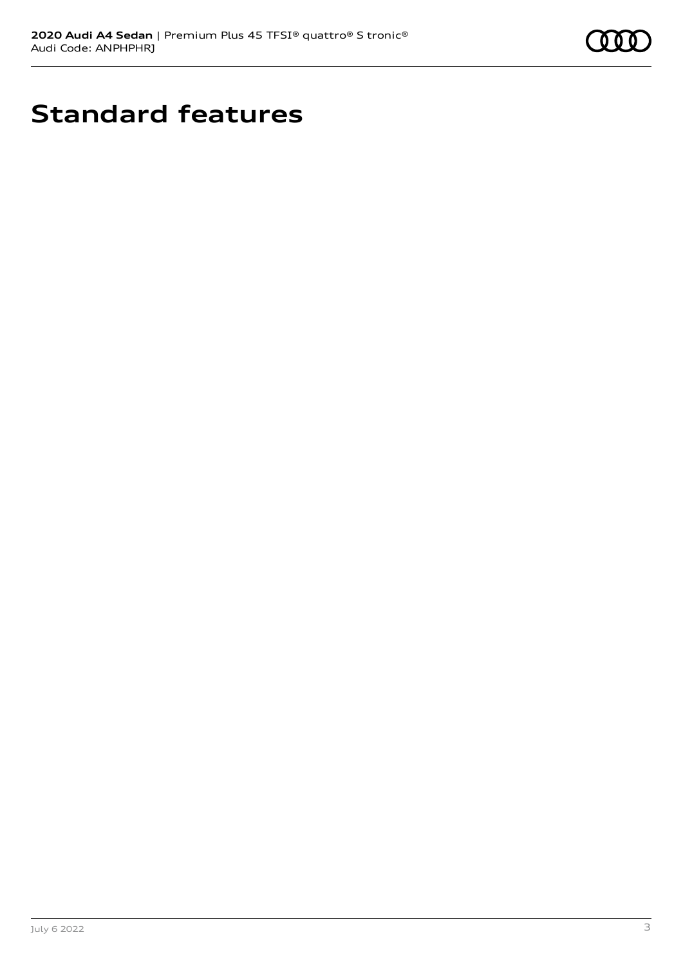

# **Standard features**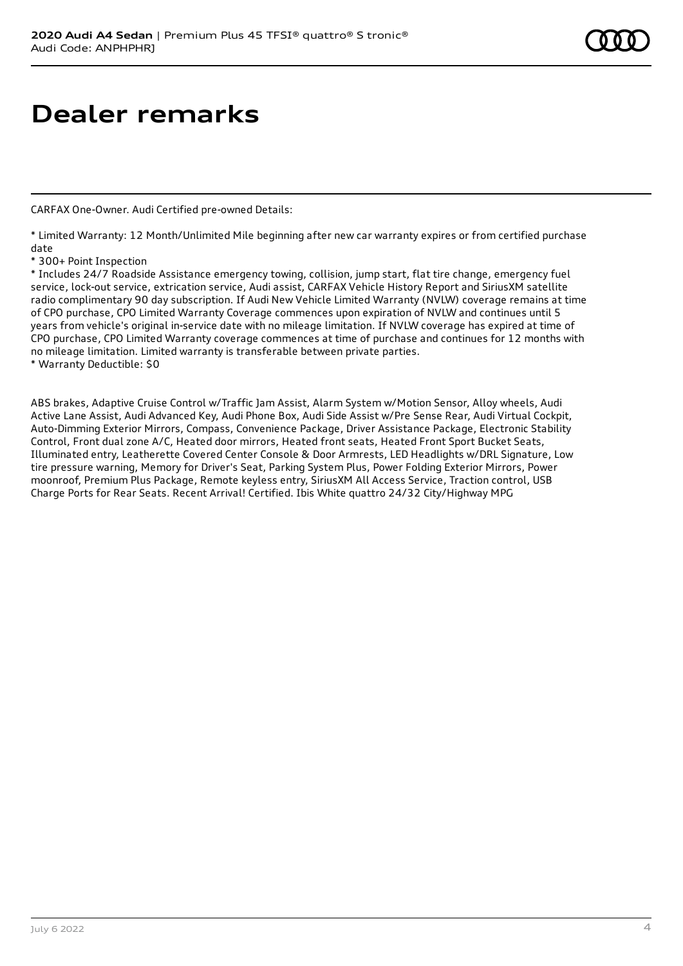# **Dealer remarks**

CARFAX One-Owner. Audi Certified pre-owned Details:

\* Limited Warranty: 12 Month/Unlimited Mile beginning after new car warranty expires or from certified purchase date

\* 300+ Point Inspection

\* Includes 24/7 Roadside Assistance emergency towing, collision, jump start, flat tire change, emergency fuel service, lock-out service, extrication service, Audi assist, CARFAX Vehicle History Report and SiriusXM satellite radio complimentary 90 day subscription. If Audi New Vehicle Limited Warranty (NVLW) coverage remains at time of CPO purchase, CPO Limited Warranty Coverage commences upon expiration of NVLW and continues until 5 years from vehicle's original in-service date with no mileage limitation. If NVLW coverage has expired at time of CPO purchase, CPO Limited Warranty coverage commences at time of purchase and continues for 12 months with no mileage limitation. Limited warranty is transferable between private parties.

\* Warranty Deductible: \$0

ABS brakes, Adaptive Cruise Control w/Traffic Jam Assist, Alarm System w/Motion Sensor, Alloy wheels, Audi Active Lane Assist, Audi Advanced Key, Audi Phone Box, Audi Side Assist w/Pre Sense Rear, Audi Virtual Cockpit, Auto-Dimming Exterior Mirrors, Compass, Convenience Package, Driver Assistance Package, Electronic Stability Control, Front dual zone A/C, Heated door mirrors, Heated front seats, Heated Front Sport Bucket Seats, Illuminated entry, Leatherette Covered Center Console & Door Armrests, LED Headlights w/DRL Signature, Low tire pressure warning, Memory for Driver's Seat, Parking System Plus, Power Folding Exterior Mirrors, Power moonroof, Premium Plus Package, Remote keyless entry, SiriusXM All Access Service, Traction control, USB Charge Ports for Rear Seats. Recent Arrival! Certified. Ibis White quattro 24/32 City/Highway MPG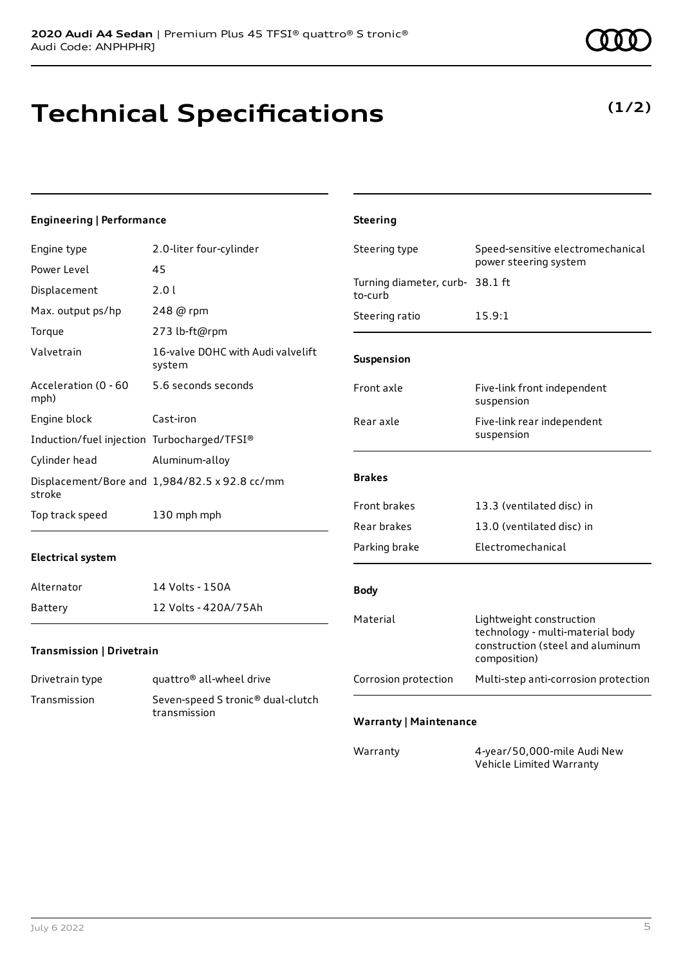# **Technical Specifications**

### **(1/2)**

### **Engineering | Performance**

| Engine type                                 | 2.0-liter four-cylinder                       | Steering type                              | Speed-sensitive electromechanical                                                                                |
|---------------------------------------------|-----------------------------------------------|--------------------------------------------|------------------------------------------------------------------------------------------------------------------|
| Power Level                                 | 45                                            |                                            | power steering system                                                                                            |
| Displacement                                | 2.01                                          | Turning diameter, curb- 38.1 ft<br>to-curb |                                                                                                                  |
| Max. output ps/hp                           | 248 @ rpm                                     | Steering ratio                             | 15.9:1                                                                                                           |
| Torque                                      | 273 lb-ft@rpm                                 |                                            |                                                                                                                  |
| Valvetrain                                  | 16-valve DOHC with Audi valvelift<br>system   | Suspension                                 |                                                                                                                  |
| Acceleration (0 - 60<br>mph)                | 5.6 seconds seconds                           | Front axle                                 | Five-link front independent<br>suspension                                                                        |
| Engine block                                | Cast-iron                                     | Rear axle                                  | Five-link rear independent                                                                                       |
| Induction/fuel injection Turbocharged/TFSI® |                                               |                                            | suspension                                                                                                       |
| Cylinder head                               | Aluminum-alloy                                |                                            |                                                                                                                  |
| stroke                                      | Displacement/Bore and 1,984/82.5 x 92.8 cc/mm | <b>Brakes</b>                              |                                                                                                                  |
| Top track speed                             | 130 mph mph                                   | Front brakes                               | 13.3 (ventilated disc) in                                                                                        |
|                                             |                                               | Rear brakes                                | 13.0 (ventilated disc) in                                                                                        |
| <b>Electrical system</b>                    |                                               | Parking brake                              | Electromechanical                                                                                                |
| Alternator                                  | 14 Volts - 150A                               | <b>Body</b>                                |                                                                                                                  |
| Battery                                     | 12 Volts - 420A/75Ah                          |                                            |                                                                                                                  |
| Transmission   Drivetrain                   |                                               | Material                                   | Lightweight construction<br>technology - multi-material body<br>construction (steel and aluminum<br>composition) |
| Drivetrain type                             | quattro <sup>®</sup> all-wheel drive          | Corrosion protection                       | Multi-step anti-corrosion protection                                                                             |
| Transmission                                | Seven-speed S tronic <sup>®</sup> dual-clutch |                                            |                                                                                                                  |
|                                             | transmission                                  | <b>Warranty   Maintenance</b>              |                                                                                                                  |
|                                             |                                               | Warranty                                   | 4-year/50,000-mile Audi New<br>Vehicle Limited Warranty                                                          |

**Steering**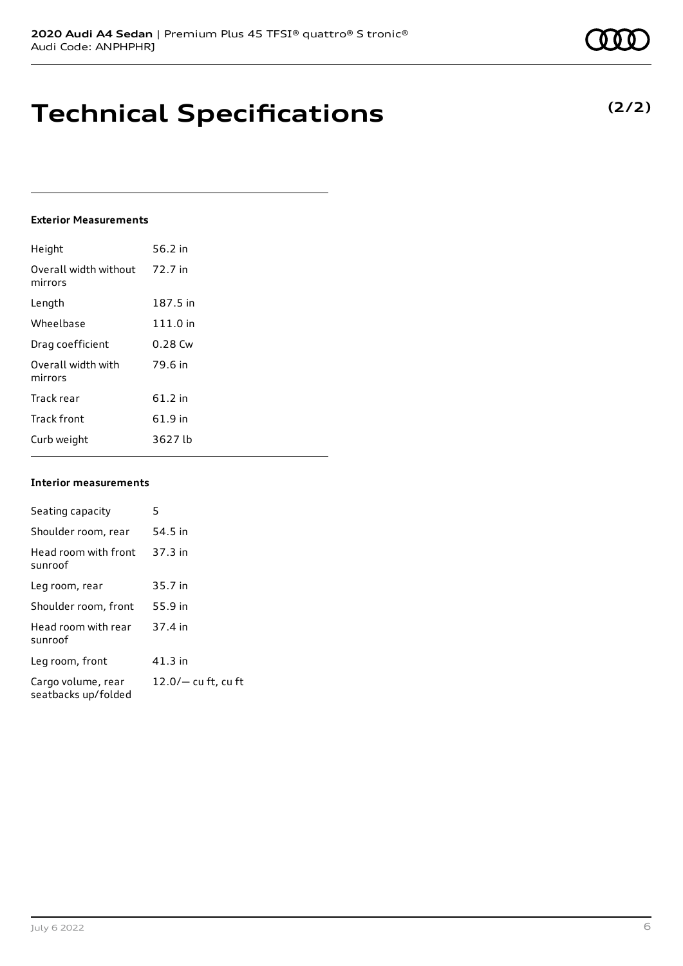**(2/2)**

# **Technical Specifications**

#### **Exterior Measurements**

| Height                           | 56.2 in   |
|----------------------------------|-----------|
| Overall width without<br>mirrors | 72.7 in   |
| Length                           | 187.5 in  |
| Wheelbase                        | 111.0 in  |
| Drag coefficient                 | $0.28$ Cw |
| Overall width with<br>mirrors    | 79.6 in   |
| Track rear                       | 61.2 in   |
| <b>Track front</b>               | 61.9 in   |
| Curb weight                      | 3627 lb   |

#### **Interior measurements**

| Seating capacity                          | 5                     |
|-------------------------------------------|-----------------------|
| Shoulder room, rear                       | 54.5 in               |
| Head room with front<br>sunroof           | $37.3$ in             |
| Leg room, rear                            | 35.7 in               |
| Shoulder room, front                      | 55.9 in               |
| Head room with rear<br>sunroof            | 37.4 in               |
| Leg room, front                           | 41.3 in               |
| Cargo volume, rear<br>seatbacks up/folded | $12.0/-$ cu ft, cu ft |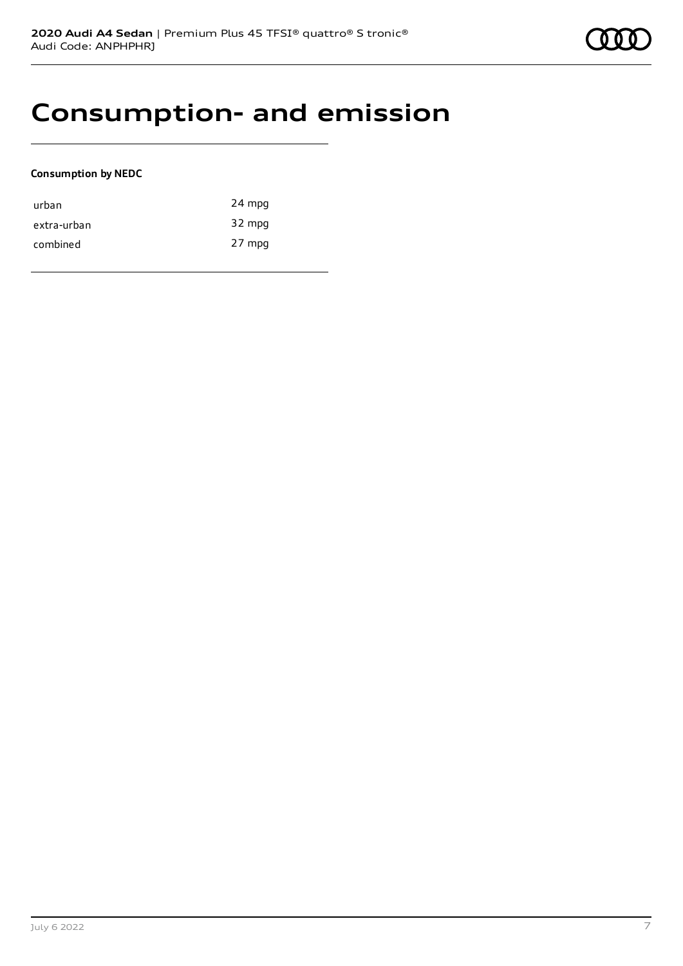## **Consumption- and emission**

#### **Consumption by NEDC**

| urban       | 24 mpg |
|-------------|--------|
| extra-urban | 32 mpg |
| combined    | 27 mpg |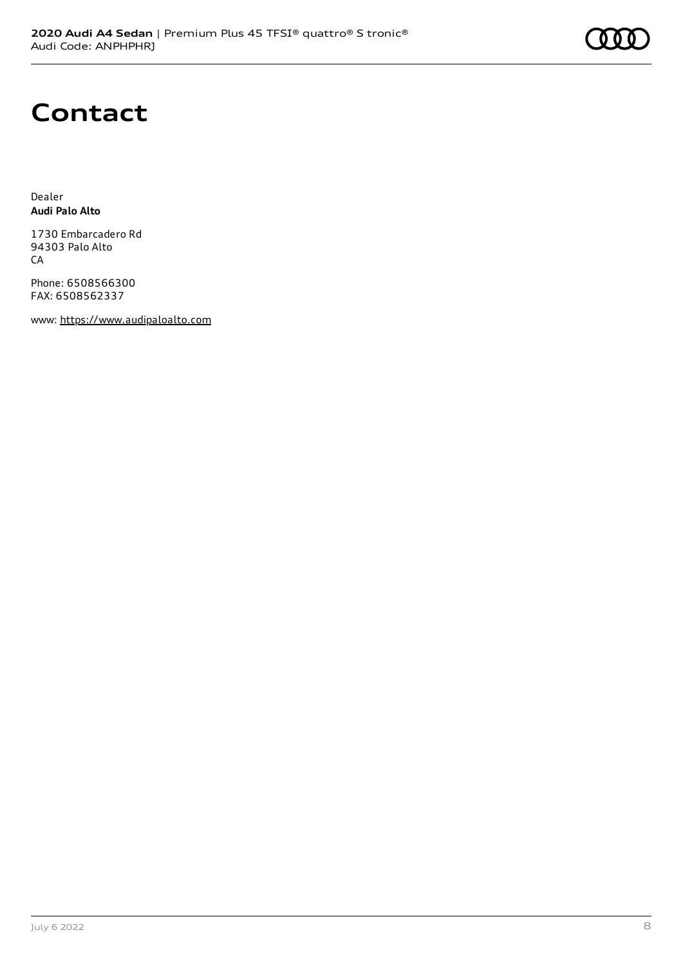# **Contact**

Dealer **Audi Palo Alto**

1730 Embarcadero Rd 94303 Palo Alto CA

Phone: 6508566300 FAX: 6508562337

www: [https://www.audipaloalto.com](https://www.audipaloalto.com/)